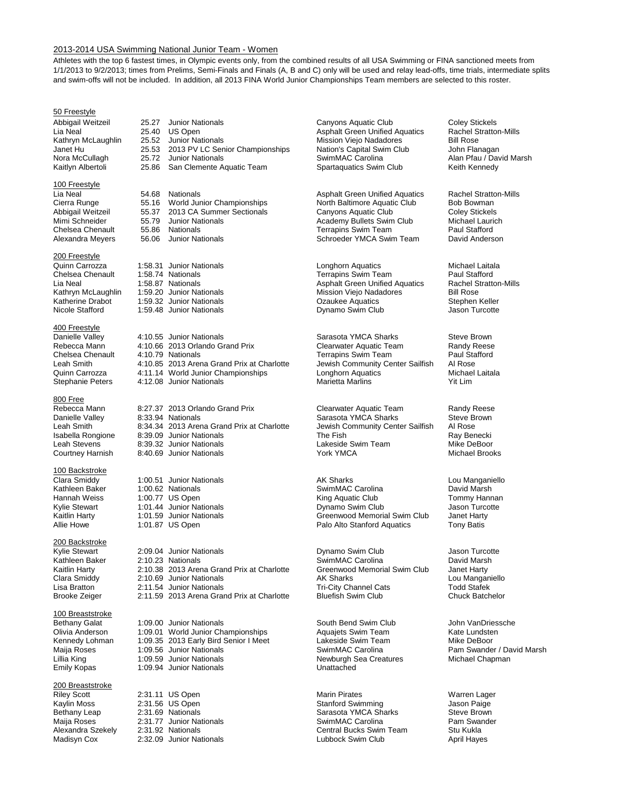#### 2013-2014 USA Swimming National Junior Team - Women

Athletes with the top 6 fastest times, in Olympic events only, from the combined results of all USA Swimming or FINA sanctioned meets from 1/1/2013 to 9/2/2013; times from Prelims, Semi-Finals and Finals (A, B and C) only will be used and relay lead-offs, time trials, intermediate splits and swim-offs will not be included. In addition, all 2013 FINA World Junior Championships Team members are selected to this roster.

#### 50 Freestyle

#### 100 Freestyle

#### 200 Freestyle

#### 400 Freestyle

#### 800 Free

#### 100 Backstroke

#### 200 Backstroke

#### 100 Breaststroke

#### 200 Breaststroke

Abbigail Weitzeil 25.27 Junior Nationals Canyons Aquatic Club Coley Stickels<br>Lia Neal 25.40 US Open Coley Asphalt Green Unified Aquatics Rachel Stratton-Mills Janet Hu <sup>25.53</sup> 2013 PV LC Senior Championships Nation's Capital Swim Nora McCullagh 25.72 Junior Nationals San Clemente Aquatic Team

Lia Neal 1986 154.68 Nationals 154.68 Asphalt Green Unified Aquatics Rachel Stratton-Mills<br>Cierra Runge 155.16 World Junior Championships 1986 North Baltimore Aquatic Club 1986 Bowman Cierra Runge 55.16 World Junior Championships North Baltimore Aquatic Club Bob Bowman Abbigail Weitzeil and 55.37 2013 CA Summer Sectionals and Canyons Aquatic Club Coley Stickels<br>Mimi Schneider and 55.79 Junior Nationals by Academy Bullets Swim Club Michael Laurich Mimi Schneider 55.79 Junior Nationals **Academy Bullets Swim Club** Michael Laurichen Michael Laurichen Academy Bullets Swim Club Michael Laurichen Michael Laurichen Chelsea Chenault 55.86 Nationals

1:59.48 Junior Nationals

Danielle Valley 14:10.55 Junior Nationals Sarasota YMCA Sharks Steve Brown<br>Rebecca Mann 1:10.66 2013 Orlando Grand Prix Clearwater Aquatic Team Randy Reese Rebecca Mann 4:10.66 2013 Orlando Grand Prix Clearwater Aquatic Team Randy Reese<br>Chelsea Chenault 4:10.79 Nationals Chelsea Chenault 4:10.79 Nationals Chelsea Chenault 4:10.79 Nationals<br>Leah Smith 4:10.85 2013 Arena Grand Prix at Charlotte Jewish Community Center Sailfish Al Rose Leah Smith 1:10.85 2013 Arena Grand Prix at Charlotte Jewish Community Center Sailfish Al Rose<br>Quinn Carrozza 4:11.14 World Junior Championships Longhorn Aquatics Michael Laitala Quinn Carrozza 4:11.14 World Junior Championships Longhorn Aquatics Michael Laitala 4:12.08 Junior Nationals

Rebecca Mann abit 8:27.37 2013 Orlando Grand Prix Clearwater Aquatic Team Randy Reese<br>
Danielle Valley a 8:33.94 Nationals Clear Sarasota YMCA Sharks Steve Brown Danielle Valley 8:33.94 Nationals Sarasota YMCA Sharks Steve Brownelle Valley 8:33.94 Nationals Steve Brownell<br>Leah Smith 8:34.34 2013 Arena Grand Prix at Charlotte Jewish Community Center Sailfish Al Rose 8:34.34 2013 Arena Grand Prix at Charlotte Jewish Community Center Sailfish Al Rose<br>8:39.09 Junior Nationals **Alg Rose Charlotte** The Fish The Fish Isabella Rongione and 8:39.09 Junior Nationals and School and The Fish Ray Benecki Ray Benecki<br>
Leah Stevens and 8:39.32 Junior Nationals and Teakeside Swim Team Mike DeBoor Leah Stevens 19:39.32 Junior Nationals<br>
Courtney Harnish 18:40.69 Junior Nationals<br>
Courtney Harnish 18:40.69 Junior Nationals<br>
Courtney Harnish 18:40.69 Junior Nationals 8:40.69 Junior Nationals

Kylie Stewart 2:09.04 Junior Nationals Dynamo Swim Club Jason Turcotte Kathleen Baker 2:10.23 Nationals<br>Kaitlin Harty 19:10.38 2013 Arena Grand Prix at Charlotte 6 Greenwood Memorial Swim Club 19:net Harty 2:10.38 2013 Arena Grand Prix at Charlotte Greenwood Memorial Swim Club Janet Harty<br>2:10.69 Junior Nationals **Manual AK Sharks** Lou Manganiello Clara Smiddy 2:10.69 Junior Nationals AK Sharks Lou Manganiello 2:11.54 Junior Nationals **Tri-City Channel Cats** Todd Stafek<br>2:11.59 2013 Arena Grand Prix at Charlotte Bluefish Swim Club **The Channel Chuck Batchelor** Brooke Zeiger 2:11.59 2013 Arena Grand Prix at Charlotte

Bethany Galat 1:09.00 Junior Nationals South Bend Swim Club John VanDriessche Olivia Anderson 1:09.01 World Junior Championships Aquajets Swim Team Kate Lundsten<br>Kennedy Lohman 1:09.35 2013 Early Bird Senior I Meet Lakeside Swim Team Mike DeBoor Kennedy Lohman 1:09.35 2013 Early Bird Senior I Meet Lakeside Swim Tear<br>Maija Roses 1:09.56 Junior Nationals SwimMAC Carolina Lillia King 1:09.59 Junior Nationals Newburgh Sea Creatures Michael Chapman Emily Kopas 1:09.94 Junior Nationals Unattached

2:32.09 Junior Nationals

Lia Neal 25.40 US Open Asphalt Green Unified Aquatics Rachel Stratton-Mills Mission Viejo Nadadores<br>
Nation's Capital Swim Club<br>
John Flanagan Nora McCullagh 25.72 Junior Nationals SwimMAC Carolina Alan Pfau / David Marsh<br>
Kaitlyn Albertoli 25.86 San Clemente Aquatic Team Spartaquatics Swim Club Keith Kennedy

Chelsea Chenault 155.86 Nationals 1994 10 Terrapins Swim Team 1995 Paul Stafford<br>Alexandra Meyers 196.06 Junior Nationals 1996 1997 Schroeder YMCA Swim Team 1996 David Anderson Schroeder YMCA Swim Team

Quinn Carrozza 1:58.31 Junior Nationals **Longhorn Aquatics** Longhorn Aquatics Michael Laitala<br>Chelsea Chenault 1:58.74 Nationals **Chelsea Chenault** Paul Stafford Chelsea Chenault 1:58.74 Nationals<br>
Lia Neal 1:58.87 Nationals 1:58.87 Nationals All Property Asphalt Green Unified Aquatics Rachel Stratton-Mills Lia Neal 1:58.87 Nationals **Asphalt Green Unified Aquatics** Rachel S<br>Kathryn McLaughlin 1:59.20 Junior Nationals Mission-Mission Viejo Nadadores Bill Rose Kathryn McLaughlin 1:59.20 Junior Nationals<br>
Katherine Drabot 1:59.32 Junior Nationals Mission Viejo Nadadores Stephen Keller Katherine Drabot 1:59.32 Junior Nationals **1.59.32 Stephen Keller** Chatagogy Caukee Aquatics Stephen Keller<br>Nicole Stafford 1:59.48 Junior Nationals **Stephen Stephen Keller** Dynamo Swim Club

Clara Smiddy 1:00.51 Junior Nationals AK Sharks Lou Manganiello Kathleen Baker 1:00.62 Nationals **SwimMAC Carolina** Baker David Marsh Hannah Weiss 1:00.77 US Open and the Communist Club King Aquatic Club Tommy Hannan<br>
Kylie Stewart 1:01.44 Junior Nationals Club Dynamo Swim Club Jason Turcotte Kylie Stewart 1:01.44 Junior Nationals Dynamo Swim Club Jason Turcotte 1:01.59 Junior Nationals<br>1:01.87 US Open 1:01.87 US Open Allie Howe **1:01.87 US Open Palo Alto Stanford Aquatics** Tony Batis

Riley Scott 2:31.11 US Open Marin Pirates Warren Lager Kaylin Moss 2:31.56 US Open Stanford Swimming Jason Paige Sarasota YMCA Sharks Maija Roses 2:31.77 Junior Nationals SwimMAC Carolina Pam Swander Alexandra Szekely 2:31.92 Nationals <br>
Madisyn Cox 2:32.09 Junior Nationals 
Central Bucks Swim Team Stu Kukla<br>
Lubbock Swim Club April Hayes

Pam Swander / David Marsh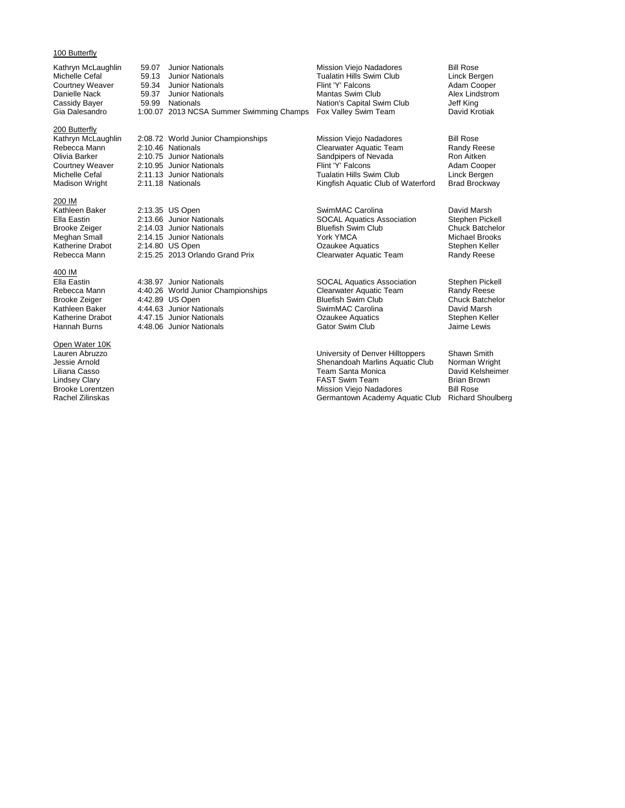#### 100 Butterfly

#### 200 Butterfly

#### 200 IM

#### 400 IM

## **Open Water 10K**<br>Lauren Abruzzo

Kathryn McLaughlin 59.07 Junior Nationals Mission Viejo Nadadores Bill Rose Bill Rose<br>Michelle Cefal 199.13 Junior Nationals Michelle Cefal 199.13 Hunior Nationals Michelle Cefal 199.13 Hunior Nationals Michelle Cefal Cefal Cefal in the Cefal of Cefal 13 Junior Nationals<br>
Tualatin Hills Swim Club Linck Bergen<br>
Flint 'Y' Falcons Adam Cooper Courtney Weaver 59.34 Junior Nationals **Flint 'Y' Falcons** Filism Cooper Danielle Nack 659.37 Junior Nationals **Adam Cooper** Conservative Mantas Swim Club Alex Lindstrom Danielle Nack 59.37 Junior Nationals Mantas Swim Club Alex Lind<br>Cassidy Bayer 59.99 Nationals Capital Swim Club Jeff King Cassidy Bayer 59.99 Nationals<br>Gia Dalesandro 1:00.07 2013 NCSA Summer Swimming Champs Fox Valley Swim Team David Krotiak 1:00.07 2013 NCSA Summer Swimming Champs

Kathryn McLaughlin 2:08.72 World Junior Championships Mission Viejo Nadadores Bill Rose<br>Rebecca Mann 2:10.46 Nationals Clearwater Aquatic Team Randy Reese Rebecca Mann <sup>2:10.46</sup> Nationals **Clearwater Aquatic Team** Randy Rees<br>
Clearwater Aquatic Team Randy Reese Clivia Barker And Ron Aitken Olivia Barker 2:10.75 Junior Nationals Sandpipers of Nevada Ron Aitken Ron Aitken<br>Courtney Weaver 2:10.95 Junior Nationals Sandpipers of Nevada Ron Aitken Ron Aitken Courtney Weaver 2:10.95 Junior Nationals Flint 'Y' Falcons Adam Cooper Michelle Cefal 2:11.13 Junior Nationals<br>Madison Wright 2:11.18 Nationals Madison Ningfish Aquatic Club of Waterford Brad Brockway

Alleen Baker 2:13.35 US Open SwimMAC Carolina Carolina David Marsh<br>Ella Eastin 2:13.66 Junior Nationals SOCAL Aquatics Association Stephen Pickell Ella Eastin 2:13.66 Junior Nationals SOCAL Aquatics Association Stephen Pickell<br>Brooke Zeiger 2:14.03 Junior Nationals Bluefish Swim Club Chuck Batchelor Brooke Zeiger 2:14.03 Junior Nationals Bluefish Swim Club Chuck Batchelor Chuck Batchelor Chuck Batchelor Chuck Batchelor Chuck Batchelor Chuck Batchelor Chuck Batchelor Chuck Brooks Chuck Brooks Chuck Brooks Chuck Brooks Meghan Small 2:14.15 Junior Nationals<br>
Katherine Drabot 2:14.80 US Open Caukee Aquatics Stephen Keller  $2:15.25$  2013 Orlando Grand Prix

Ella Eastin 1:38.97 Junior Nationals SOCAL Aquatics Association Stephen Pickell<br>Rebecca Mann 4:40.26 World Junior Championships Clearwater Aquatic Team Randy Reese Rebecca Mann 4:40.26 World Junior Championships Clearwater Aquatic Team Randy Reese<br>Brooke Zeiger 4:42.89 US Open Bluefish Swim Club Chuck Batchelor Brooke Zeiger 4:42.89 US Open Bluefish Swim Club Chuck Batchelor Kathleen Baker 4:44.63 Junior Nationals<br>
Katherine Drabot 4:47.15 Junior Nationals **Summan Basis Carolina** Carolina<br>
Ozaukee Aquatics Stephen Keller 4:48.06 Junior Nationals

Katherine Drabot 2:14.80 US Open Crabot 2:14.80 US Open Craukee Aquatics Craukee Aquatics<br>
Rebecca Mann 2:15.25 2013 Orlando Grand Prix Clearwater Aquatic Team Randy Reese

Katherine Drabot 4:47.15 Junior Nationals Ozaukee Aquatics Stephen Keller

Lauren Abruzzo University of Denver Hilltoppers Shawn Smith Jessie Arnold<br>Jessie Arnold<br>Liliana Casso **Shenandoah Marlins Aquatic Club** Norman Wright<br>Liliana Casso **North North America** Team Santa Monica **North David Kelsheimer** Liliana Casso Team Santa Monica David Kelsheimer Lindsey Clary **FAST Swim Team** Brian Brown Brian Brown Team Brown Team Brown Team Brown Brian Brown Brian Brown B<br>Bill Rose Brooke Lorentzen Brooke Lorentzen and Bill Rose<br>
Bill Rose Bill Rose<br>
Germantown Academy Aquatic Club Richard Shoulberg<br>
Germantown Academy Aquatic Club Richard Shoulberg Germantown Academy Aquatic Club

Kingfish Aquatic Club of Waterford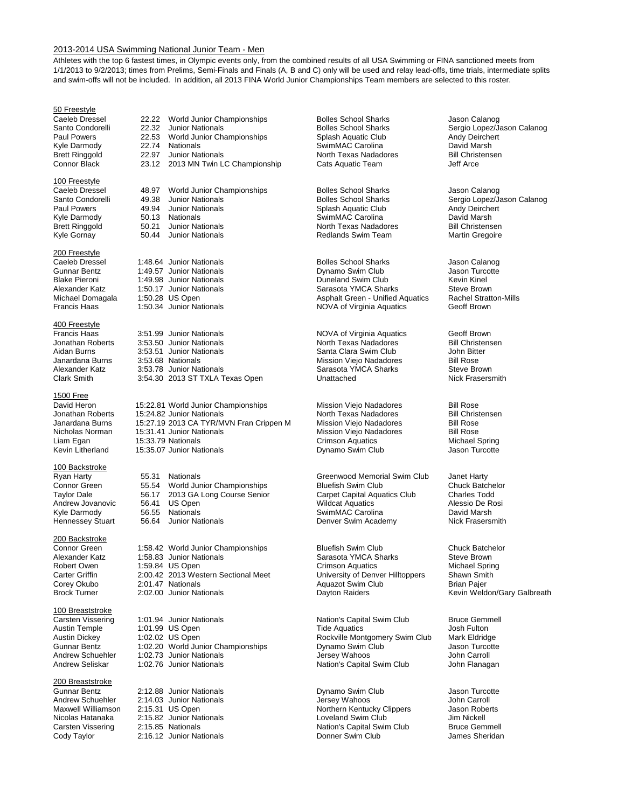#### 2013-2014 USA Swimming National Junior Team - Men

Athletes with the top 6 fastest times, in Olympic events only, from the combined results of all USA Swimming or FINA sanctioned meets from 1/1/2013 to 9/2/2013; times from Prelims, Semi-Finals and Finals (A, B and C) only will be used and relay lead-offs, time trials, intermediate splits and swim-offs will not be included. In addition, all 2013 FINA World Junior Championships Team members are selected to this roster.

#### 50 Freestyle

#### 100 Freestyle

#### 200 Freestyle

#### 400 Freestyle

#### 1500 Free

#### 100 Backstroke

#### 200 Backstroke

#### 100 Breaststroke

#### 200 Breaststroke

Caeleb Dressel 22.22 World Junior Championships Bolles School Sharks Jason Calanog<br>
Santo Condorelli 22.32 Junior Nationals Bolles School Sharks Sergio Lopez/Ja Paul Powers 22.53 World Junior Championships Splash Aquatic Club Andy Deircherthert Club Andy Deircherthert Club<br>Kyle Darmody 22.74 Nationals SwimMAC Carolina David Marsh Kyle Darmody 22.74 Nationals SwimMAC Carolina David Marsh Brett Ringgold 22.97 Junior Nationals Morth Texas Nadadores Bill Christ<br>Connor Black 23.12 2013 MN Twin LC Championship Cats Aquatic Team Jeff Arce 23.12 2013 MN Twin LC Championship

Caeleb Dressel 48.97 World Junior Championships Bolles School Sharks Jason Calanog<br>Santo Condorelli 49.38 Junior Nationals Santo Condorelli 49.38 Junior Nationals<br>
Paul Powers 19.94 Junior Nationals Solles School Sharks Sergio Lopez/Jason Calanog<br>
Solash Aquatic Club Andy Deirchert Kyle Darmody 60.13 Nationals Summann SwimMAC Carolina Communicum David Marsh<br>
SwimMAC Carolina David Marsh David Marsh Christensen<br>
North Texas Nadadores Bill Christensen Brett Ringgold 50.21 Junior Nationals North Texas Nadadores Bill Christensen

Caeleb Dressel 1:48.64 Junior Nationals **Caeleb Dressel 1:48.64 Junior Nationals** Bolles School Sharks Jason Calanog<br>
Gunnar Bentz 1:49.57 Junior Nationals Dynamo Swim Club Jason Turcotte

Francis Haas 3:51.99 Junior Nationals<br>
Jonathan Roberts 3:53.50 Junior Nationals Morth Texas Nadadores Bill Christensen Jonathan Roberts 3:53.50 Junior Nationals North Texas Nadadores Bill Christe<br>Aidan Burns 3:53.51 Junior Nationals Santa Clara Swim Club John Bitter Aidan Burns 3:53.51 Junior Nationals Santa Clara Swim Club John Bitter Janardana Burns 3:53.68 Nationals Mission Viejo Nadadores Bill Rose Alexander Katz 3:53.78 Junior Nationals Sarasota YMCA Sharks Steve Brown<br>Clark Smith 3:54.30 2013 ST TXLA Texas Open Statiached Unattached 3:54.30 2013 ST TXLA Texas Open

David Heron 15:22.81 World Junior Championships Mission Viejo Nadadores Bill Rose Jonathan Roberts 15:24.82 Junior Nationals Morth Texas Nadadores Bill Christensen<br>Janardana Burns 15:27.19 2013 CA TYR/MVN Fran Crippen M Mission Viejo Nadadores Bill Rose Janardana Burns 15:27.19 2013 CA TYR/MVN Fran Crippen M Mission Viejo Nadadores Bill Rose<br>Nicholas Norman 15:31.41 Junior Nationals Mission Viejo Nadadores Bill Rose Liam Egan 15:33.79 Nationals Crimson Aquatics Michael Spring 15:35.07 Junior Nationals

## Ryan Harty 55.31 Nationals Greenwood Memorial Swim Club Janet Harty Taylor Dale 56.17 2013 GA Long Course Senior Carpet Capital Aquatics Club Charles Todd<br>Andrew Jovanovic 56.41 US Open Course Senior Wildcat Aquatics Club Alessio De Rosi Andrew Jovanovic 56.41 US Open Number 2014 Mildcat Aquatics Andrew Jovanovic 56.41 US Open Number 2016 Mildcat Aquatics Alessio De R<br>Alessio De Rosino Alessio De Rosino Alessio De Rosino Alessio De Rosino Alessio De Rosino

Connor Green 1:58.42 World Junior Championships Bluefish Swim Club Chuck Batchelor Alexander Katz 1:58.83 Junior Nationals **Sarasota YMCA Sharks** Steve Brown<br>Robert Owen 1:59.84 US Open Steve Brown Scrimson Aquatics Steve Spring Robert Owen 1:59.84 US Open Crimson Aquatics Crimson Aquatics Michael Sprin<br>Carter Griffin 2:00.42 2013 Western Sectional Meet University of Denver Hilltoppers Shawn Smith 2:00.42 2013 Western Sectional Meet Corey Okubo 2:01.47 Nationals Aquazot Swim Club Brian Pajer Brock Turner 2:02.00 Junior Nationals Dayton Raiders Kevin Weldon/Gary Galbreath

1:01.99 US Open **Tide Aquatics** Tide Aquatics Josh Fulton Josh Fulton Josh Fulton Josh Fulton 1:02.02 US Open Josh Fulton Rockville Montgomery Swim Club Austin Dickey 1:02.02 US Open Rockville Montgomery Swim Club Mark Eldridge<br>Gunnar Bentz 1:02.20 World Junior Championships Dynamo Swim Club Jason Turcotte Gunnar Bentz 1:02.20 World Junior Championships Cunnar Bentz and Hundel Schuehler 1:02.20 World Junior Championships<br>Andrew Schuehler 1:02.73 Junior Nationals Jersey Wahoos Jersey Wahoos John Carroll 1:02.73 Junior Nationals Andrew Seliskar 1:02.76 Junior Nationals Nation's Capital Swim Club John Flanagan

Gunnar Bentz 2:12.88 Junior Nationals Dynamo Swim Club Jason Turcotte 2:15.82 Junior Nationals

Splash Aquatic Club Redlands Swim Team

Gunnar Bentz 1:49.57 Junior Nationals<br>
Blake Pieroni 1:49.98 Junior Nationals **Duneland Swim Club** Club Kevin Kinel 1:49.98 Junior Nationals **Nationals** Duneland Swim Club Kevin Kinel<br>1:50.17 Junior Nationals **National Kevin Kinel Standard Accord Contract Contract Accord Standard Steve Brown** Alexander Katz 1:50.17 Junior Nationals Sarasota YMCA Sharks Steve Brown<br>Michael Domagala 1:50.28 US Open Steven Steven Stephalt Green - Unified Aguatics Rachel Stratton-Mills Michael Domagala 1:50.28 US Open Asphalt Green - Unified Aquatics Rachel Stratton-Mills and Asphalt Green - Unified Aquatics Rachel Stratton-Mills and Trancis Haas 31:50.34 Junior Nationals And Move of Virginia Aquatics Ge NOVA of Virginia Aquatics

Mission Viejo Nadadores

World Junior Championships Bluefish Swim Club Chuck Batche<br>
2013 GA Long Course Senior Carpet Capital Aquatics Club Charles Todd SwimMAC Carolina Hennessey Stuart 56.64 Junior Nationals **Denver Swim Academy** Nick Frasersmith

Carsten Vissering 1:01.94 Junior Nationals **Nation's Capital Swim Club** Bruce Gemmell<br>
Austin Temple 1:01.99 US Open **National State Advatics** Josh Fulton

Andrew Schuehler 2:14.03 Junior Nationals<br>
Maxwell Williamson 2:15.31 US Open **Julie 2008** Northern Kentucky Clippers Jason Roberts Maxwell Williamson 2:15.31 US Open Northern Kentucky Clippers Jason Roberts Carsten Vissering 2:15.85 Nationals Nation Nation's Capital Swim Club Bruce Gemmell Cody Taylor **2:16.12 Junior Nationals Cody Taylor** James Sheridan

Santo Condorelli 22.32 Junior Nationals Bolles School Sharks Sergio Lopez/Jason Calanog<br>
Paul Powers 22.53 World Junior Championships Splash Aquatic Club Andy Deirchert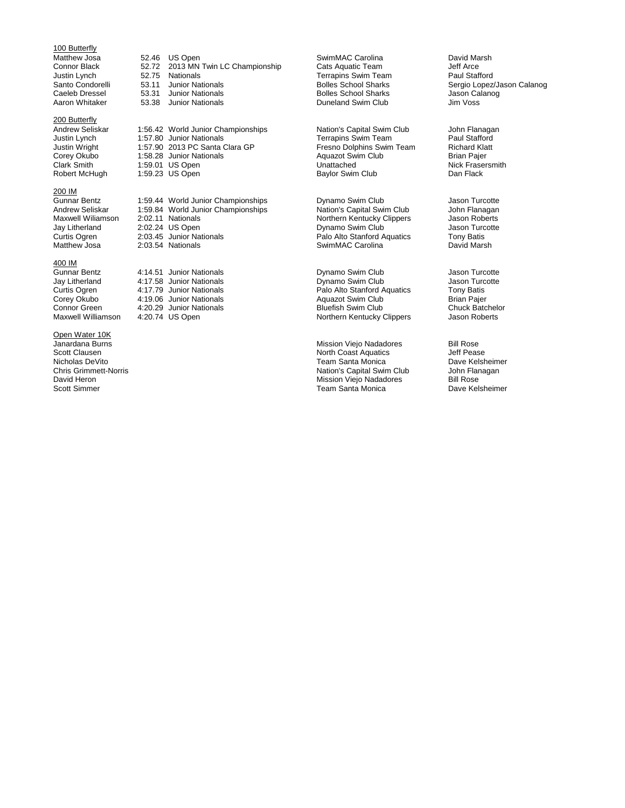# 100 Butterfly<br>Matthew Josa

#### 200 Butterfly

#### 200 IM

#### 400 IM

**Open Water 10K**<br>Janardana Burns

Matthew Josa 52.46 US Open SwimMAC Carolina David Marsh Connor Black 52.72 2013 MN Twin LC Championship Cats Aquatic Team Jeff Arce Justin Lynch 52.75 Nationals Terrapins Swim Team Paul Stafford Santo Junior Nationals<br>
Santo Colles School Sharks Sergio Lopez/Jason Calanog<br>
Bolles School Sharks School Sharks Jason Calanog Caeleb Dressel 53.31 Junior Nationals Bolles School Sharks Jason Calanog

Andrew Seliskar 1:56.42 World Junior Championships Nation's Capital Swim Club John Flanagan<br>
Justin Lynch 1:57.80 Junior Nationals Terrapins Swim Team Paul Stafford Justin Lynch 1:57.80 Junior Nationals Terrapins Swim Team Paul Stafford Justin Wright 1:57.90 2013 PC Santa Clara GP Fresno Dolphins Swim Team Richard Klattery Corey Okubo<br>Corey Okubo 1:58.28 Junior Nationals Aquazot Swim Club Brian Pajer Corey Okubo 1:58.28 Junior Nationals and Aquazot Swim Club Brian Pajer<br>Clark Smith 1:59.01 US Open Clark Smith Brian Pajer Clark Smith 1:59.01 US Open Clark Smith 1:59.01 US Open Unattached Unattached Nick Frase<br>Robert McHugh 1:59.23 US Open Baylor Swim Club 1:59.23 US Open Baylor Swim Club

Gunnar Bentz 1:59.44 World Junior Championships **Cunnar Bentz** Jason Turcotte<br>Andrew Seliskar 1:59.84 World Junior Championships Nation's Capital Swim Club John Flanagan Andrew Seliskar 1:59.84 World Junior Championships Nation's Capital Swim Club John Flanagan<br>Maxwell Wiliamson 2:02.11 Nationals Morthern Kentucky Clippers Jason Roberts Maxwell Wiliamson 2:02.11 Nationals Northern Kentucky Clippers Jason Roberts Jay Litherland 2:02.24 US Open Dynamo Swim Club Jason Turcottes University Controller and Dynamo Swim Club Jason Turcottes Curtis Ogren 2:03.45 Junior Nationals Curtis Palo Alto Stanford Aquatics Tony Batis Curtis Ogren 2:03.45 Junior Nationals **Palo Alto Stanford Aquatics** Tony Batis Curtis Ogren 2:03.54 Nationals **Palo Alto Stanford Aquatics** Tony Batis Curtis Matthew Josa

| Gunnar Bentz       | 4:14.51 Junior Nationals | Dynamo Swim Club            | Jason Turcotte         |
|--------------------|--------------------------|-----------------------------|------------------------|
| Jay Litherland     | 4:17.58 Junior Nationals | Dynamo Swim Club            | Jason Turcotte         |
| Curtis Ogren       | 4:17.79 Junior Nationals | Palo Alto Stanford Aquatics | Tony Batis             |
| Corey Okubo        | 4:19.06 Junior Nationals | Aquazot Swim Club           | <b>Brian Pajer</b>     |
| Connor Green       | 4:20.29 Junior Nationals | <b>Bluefish Swim Club</b>   | <b>Chuck Batchelor</b> |
| Maxwell Williamson | 4:20.74 US Open          | Northern Kentucky Clippers  | Jason Roberts          |

Duneland Swim Club

SwimMAC Carolina

Janardana Burns **Mission Viejo Nadadores** Bill Rose<br>
Scott Clausen **Mission Viejo Nadadores** Bill Rose<br>
North Coast Aquatics Jeff Pease Scott Clausen and Scott Clausen and Scott Clausen and Scott Clausen and Scott Aquatics Jeff Pease Aquatics Jeff Pease Peaks Aquatics Jeff Pease Peaks Aquatics Jeff Pease Peaks Aquatics Jeff Pease Peaks Aguatics Jeff Pease Nicholas DeVito<br>
Chris Grimmett-Norris **Chris Chris Care Chris Capital Swim Club**<br>
Mation's Capital Swim Club John Flanagan Chris Grimmett-Norris **Nation's Capital Swim Club** John Flanagan Chris Grimmett-Norris Nation's Capital Swim Club<br>David Heron Bill Rose David Heron **David Heron Communist Communist Communist Communist Communist Communist Communist Communist Communist Communist Communist Communist Communist Communist Communist Communist Communist Communist Communist Communi** Team Santa Monica